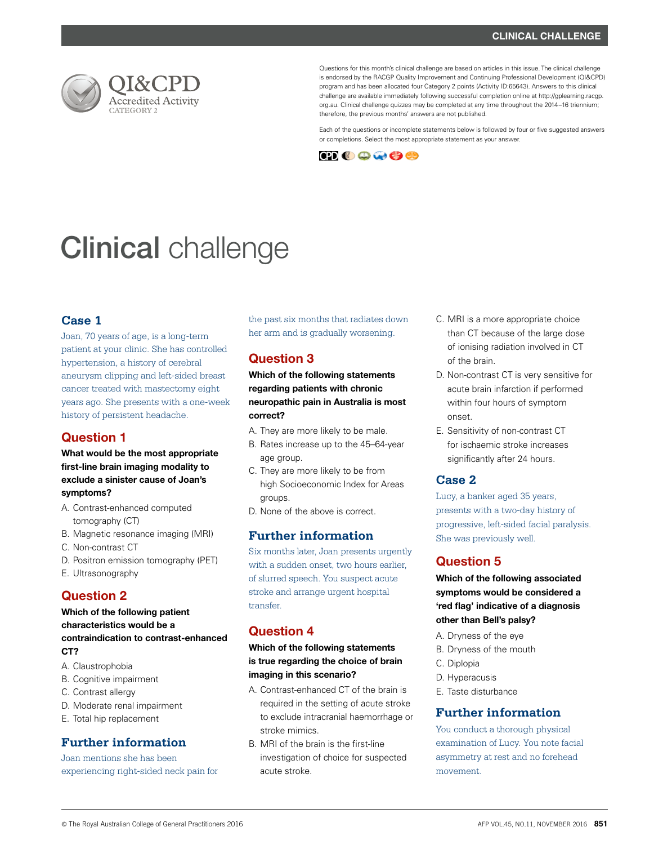

Questions for this month's clinical challenge are based on articles in this issue. The clinical challenge is endorsed by the RACGP Quality Improvement and Continuing Professional Development (QI&CPD) program and has been allocated four Category 2 points (Activity ID:65643). Answers to this clinical challenge are available immediately following successful completion online at http://gplearning.racgp. org.au. Clinical challenge quizzes may be completed at any time throughout the 2014–16 triennium; therefore, the previous months' answers are not published.

Each of the questions or incomplete statements below is followed by four or five suggested answers or completions. Select the most appropriate statement as your answer.



# **Clinical** challenge

## **Case 1**

Joan, 70 years of age, is a long-term patient at your clinic. She has controlled hypertension, a history of cerebral aneurysm clipping and left-sided breast cancer treated with mastectomy eight years ago. She presents with a one-week history of persistent headache.

# Question 1

## What would be the most appropriate first-line brain imaging modality to exclude a sinister cause of Joan's symptoms?

- A. Contrast-enhanced computed tomography (CT)
- B. Magnetic resonance imaging (MRI)
- C. Non-contrast CT
- D. Positron emission tomography (PET)
- E. Ultrasonography

# Question 2

#### Which of the following patient characteristics would be a contraindication to contrast-enhanced CT?

- A. Claustrophobia
- B. Cognitive impairment
- C. Contrast allergy
- D. Moderate renal impairment
- E. Total hip replacement

## **Further information**

Joan mentions she has been experiencing right-sided neck pain for the past six months that radiates down her arm and is gradually worsening.

# Question 3

## Which of the following statements regarding patients with chronic neuropathic pain in Australia is most correct?

- A. They are more likely to be male.
- B. Rates increase up to the 45–64-year age group.
- C. They are more likely to be from high Socioeconomic Index for Areas groups.
- D. None of the above is correct.

## **Further information**

Six months later, Joan presents urgently with a sudden onset, two hours earlier, of slurred speech. You suspect acute stroke and arrange urgent hospital transfer.

# Question 4

## Which of the following statements is true regarding the choice of brain imaging in this scenario?

- A. Contrast-enhanced CT of the brain is required in the setting of acute stroke to exclude intracranial haemorrhage or stroke mimics.
- B. MRI of the brain is the first-line investigation of choice for suspected acute stroke.
- C. MRI is a more appropriate choice than CT because of the large dose of ionising radiation involved in CT of the brain.
- D. Non-contrast CT is very sensitive for acute brain infarction if performed within four hours of symptom onset.
- E. Sensitivity of non-contrast CT for ischaemic stroke increases significantly after 24 hours.

### **Case 2**

Lucy, a banker aged 35 years, presents with a two-day history of progressive, left-sided facial paralysis. She was previously well.

# Question 5

Which of the following associated symptoms would be considered a 'red flag' indicative of a diagnosis other than Bell's palsy?

- A. Dryness of the eye
- B. Dryness of the mouth
- C. Diplopia
- D. Hyperacusis
- E. Taste disturbance

## **Further information**

You conduct a thorough physical examination of Lucy. You note facial asymmetry at rest and no forehead movement.